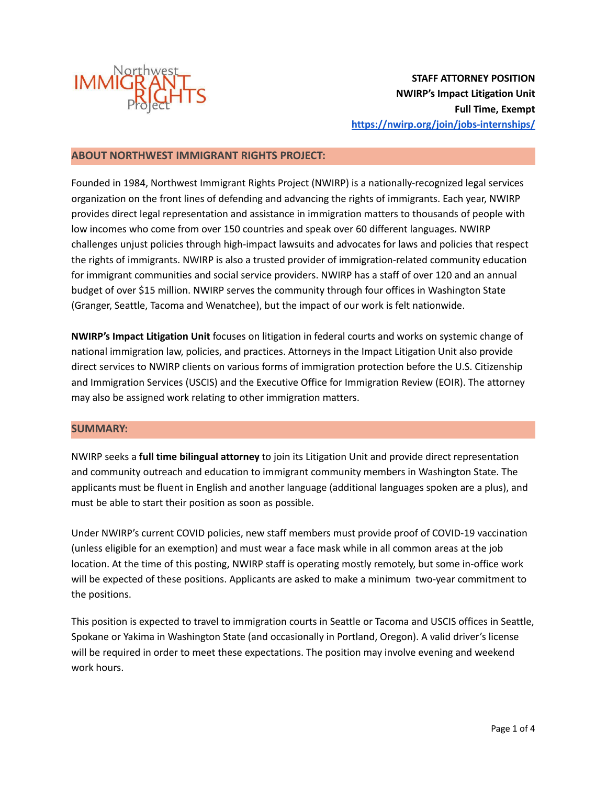

**STAFF ATTORNEY POSITION NWIRP's Impact Litigation Unit Full Time, Exempt <https://nwirp.org/join/jobs-internships/>**

### **ABOUT NORTHWEST IMMIGRANT RIGHTS PROJECT:**

Founded in 1984, Northwest Immigrant Rights Project (NWIRP) is a nationally-recognized legal services organization on the front lines of defending and advancing the rights of immigrants. Each year, NWIRP provides direct legal representation and assistance in immigration matters to thousands of people with low incomes who come from over 150 countries and speak over 60 different languages. NWIRP challenges unjust policies through high-impact lawsuits and advocates for laws and policies that respect the rights of immigrants. NWIRP is also a trusted provider of immigration-related community education for immigrant communities and social service providers. NWIRP has a staff of over 120 and an annual budget of over \$15 million. NWIRP serves the community through four offices in Washington State (Granger, Seattle, Tacoma and Wenatchee), but the impact of our work is felt nationwide.

**NWIRP's Impact Litigation Unit** focuses on litigation in federal courts and works on systemic change of national immigration law, policies, and practices. Attorneys in the Impact Litigation Unit also provide direct services to NWIRP clients on various forms of immigration protection before the U.S. Citizenship and Immigration Services (USCIS) and the Executive Office for Immigration Review (EOIR). The attorney may also be assigned work relating to other immigration matters.

#### **SUMMARY:**

NWIRP seeks a **full time bilingual attorney** to join its Litigation Unit and provide direct representation and community outreach and education to immigrant community members in Washington State. The applicants must be fluent in English and another language (additional languages spoken are a plus), and must be able to start their position as soon as possible.

Under NWIRP's current COVID policies, new staff members must provide proof of COVID-19 vaccination (unless eligible for an exemption) and must wear a face mask while in all common areas at the job location. At the time of this posting, NWIRP staff is operating mostly remotely, but some in-office work will be expected of these positions. Applicants are asked to make a minimum two-year commitment to the positions.

This position is expected to travel to immigration courts in Seattle or Tacoma and USCIS offices in Seattle, Spokane or Yakima in Washington State (and occasionally in Portland, Oregon). A valid driver's license will be required in order to meet these expectations. The position may involve evening and weekend work hours.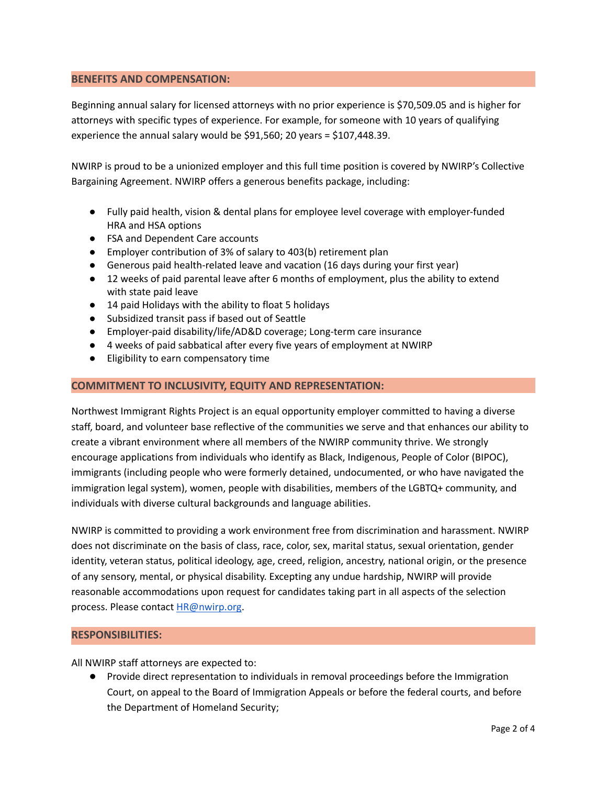### **BENEFITS AND COMPENSATION:**

Beginning annual salary for licensed attorneys with no prior experience is \$70,509.05 and is higher for attorneys with specific types of experience. For example, for someone with 10 years of qualifying experience the annual salary would be \$91,560; 20 years = \$107,448.39.

NWIRP is proud to be a unionized employer and this full time position is covered by NWIRP's Collective Bargaining Agreement. NWIRP offers a generous benefits package, including:

- Fully paid health, vision & dental plans for employee level coverage with employer-funded HRA and HSA options
- FSA and Dependent Care accounts
- Employer contribution of 3% of salary to 403(b) retirement plan
- Generous paid health-related leave and vacation (16 days during your first year)
- 12 weeks of paid parental leave after 6 months of employment, plus the ability to extend with state paid leave
- 14 paid Holidays with the ability to float 5 holidays
- Subsidized transit pass if based out of Seattle
- Employer-paid disability/life/AD&D coverage; Long-term care insurance
- 4 weeks of paid sabbatical after every five years of employment at NWIRP
- Eligibility to earn compensatory time

### **COMMITMENT TO INCLUSIVITY, EQUITY AND REPRESENTATION:**

Northwest Immigrant Rights Project is an equal opportunity employer committed to having a diverse staff, board, and volunteer base reflective of the communities we serve and that enhances our ability to create a vibrant environment where all members of the NWIRP community thrive. We strongly encourage applications from individuals who identify as Black, Indigenous, People of Color (BIPOC), immigrants (including people who were formerly detained, undocumented, or who have navigated the immigration legal system), women, people with disabilities, members of the LGBTQ+ community, and individuals with diverse cultural backgrounds and language abilities.

NWIRP is committed to providing a work environment free from discrimination and harassment. NWIRP does not discriminate on the basis of class, race, color, sex, marital status, sexual orientation, gender identity, veteran status, political ideology, age, creed, religion, ancestry, national origin, or the presence of any sensory, mental, or physical disability. Excepting any undue hardship, NWIRP will provide reasonable accommodations upon request for candidates taking part in all aspects of the selection process. Please contact [HR@nwirp.org.](mailto:HR@nwirp.org)

### **RESPONSIBILITIES:**

All NWIRP staff attorneys are expected to:

● Provide direct representation to individuals in removal proceedings before the Immigration Court, on appeal to the Board of Immigration Appeals or before the federal courts, and before the Department of Homeland Security;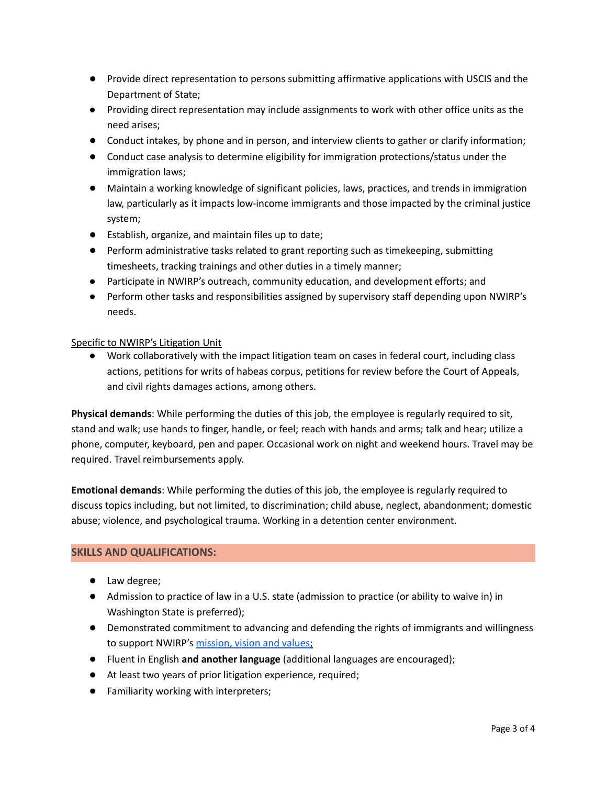- Provide direct representation to persons submitting affirmative applications with USCIS and the Department of State;
- Providing direct representation may include assignments to work with other office units as the need arises;
- Conduct intakes, by phone and in person, and interview clients to gather or clarify information;
- Conduct case analysis to determine eligibility for immigration protections/status under the immigration laws;
- Maintain a working knowledge of significant policies, laws, practices, and trends in immigration law, particularly as it impacts low-income immigrants and those impacted by the criminal justice system;
- Establish, organize, and maintain files up to date;
- Perform administrative tasks related to grant reporting such as timekeeping, submitting timesheets, tracking trainings and other duties in a timely manner;
- Participate in NWIRP's outreach, community education, and development efforts; and
- Perform other tasks and responsibilities assigned by supervisory staff depending upon NWIRP's needs.

### Specific to NWIRP's Litigation Unit

● Work collaboratively with the impact litigation team on cases in federal court, including class actions, petitions for writs of habeas corpus, petitions for review before the Court of Appeals, and civil rights damages actions, among others.

**Physical demands**: While performing the duties of this job, the employee is regularly required to sit, stand and walk; use hands to finger, handle, or feel; reach with hands and arms; talk and hear; utilize a phone, computer, keyboard, pen and paper. Occasional work on night and weekend hours. Travel may be required. Travel reimbursements apply.

**Emotional demands**: While performing the duties of this job, the employee is regularly required to discuss topics including, but not limited, to discrimination; child abuse, neglect, abandonment; domestic abuse; violence, and psychological trauma. Working in a detention center environment.

# **SKILLS AND QUALIFICATIONS:**

- Law degree;
- Admission to practice of law in a U.S. state (admission to practice (or ability to waive in) in Washington State is preferred);
- Demonstrated commitment to advancing and defending the rights of immigrants and willingness to support NWIRP's [mission,](https://www.nwirp.org/about/mission/#:~:text=Mission%20Statement,systemic%20advocacy%2C%20and%20community%20education.) vision and values;
- Fluent in English **and another language** (additional languages are encouraged);
- At least two years of prior litigation experience, required;
- Familiarity working with interpreters;